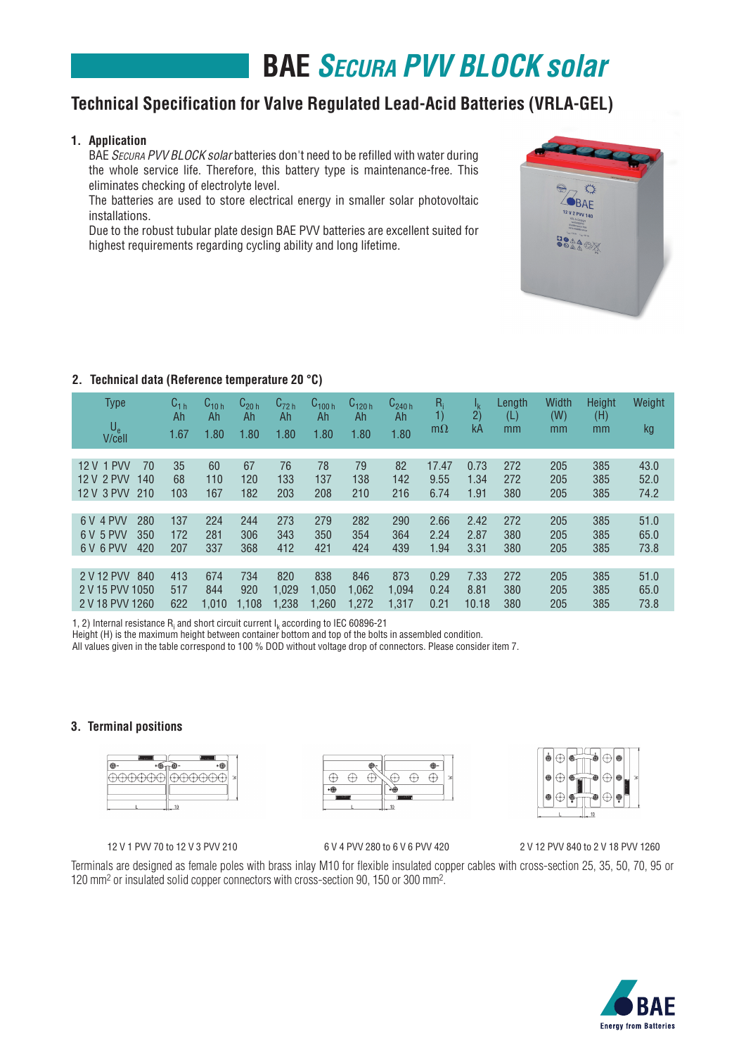# **BAE** *Secura PVV BLOCK solar*

## **Technical Specification for Valve Regulated Lead-Acid Batteries (VRLA-GEL)**

### **1. Application**

BAE SECURA PVV BLOCK solar batteries don't need to be refilled with water during the whole service life. Therefore, this battery type is maintenance-free. This eliminates checking of electrolyte level.

 The batteries are used to store electrical energy in smaller solar photovoltaic installations.

 Due to the robust tubular plate design BAE PVV batteries are excellent suited for highest requirements regarding cycling ability and long lifetime.



## **2. Technical data (Reference temperature 20 °C)**

| <b>Type</b><br>$U_{e}$<br>V/cell                              | $\mathtt{C_{1\,h}}$<br>Ah<br>1.67 | $U_{10h}$<br>Ah<br>1.80 | $C_{20h}$<br>Ah<br>1.80 | $C_{72h}$<br>Ah<br>1.80 | $C_{100h}$<br>Ah<br>1.80 | C <sub>120 հ</sub><br>Ah<br>1.80 | $C_{240h}$<br>Ah<br>1.80 | R,<br>1)<br>$m\Omega$ | Ιĸ<br>2)<br>kA        | Length<br>(L)<br>mm | Width<br>(W)<br>mm | Height<br>(H)<br>mm | Weight<br>kg         |
|---------------------------------------------------------------|-----------------------------------|-------------------------|-------------------------|-------------------------|--------------------------|----------------------------------|--------------------------|-----------------------|-----------------------|---------------------|--------------------|---------------------|----------------------|
| 12 V 1 PVV<br>70<br>12 V 2 PVV<br>140<br>12 V 3 PVV<br>210    | 35<br>68<br>103                   | 60<br>110<br>167        | 67<br>120<br>182        | 76<br>133<br>203        | 78<br>137<br>208         | 79<br>138<br>210                 | 82<br>142<br>216         | 17.47<br>9.55<br>6.74 | 0.73<br>1.34<br>1.91  | 272<br>272<br>380   | 205<br>205<br>205  | 385<br>385<br>385   | 43.0<br>52.0<br>74.2 |
| 4 PVV<br>280<br>6V<br>5 PVV<br>350<br>6 V<br>6 V 6 PVV<br>420 | 137<br>172<br>207                 | 224<br>281<br>337       | 244<br>306<br>368       | 273<br>343<br>412       | 279<br>350<br>421        | 282<br>354<br>424                | 290<br>364<br>439        | 2.66<br>2.24<br>1.94  | 2.42<br>2.87<br>3.31  | 272<br>380<br>380   | 205<br>205<br>205  | 385<br>385<br>385   | 51.0<br>65.0<br>73.8 |
| 2 V 12 PVV<br>840<br>2 V 15 PVV 1050<br>2 V 18 PVV 1260       | 413<br>517<br>622                 | 674<br>844<br>1.010     | 734<br>920<br>1.108     | 820<br>1,029<br>1,238   | 838<br>1.050<br>1.260    | 846<br>1,062<br>1.272            | 873<br>1,094<br>1,317    | 0.29<br>0.24<br>0.21  | 7.33<br>8.81<br>10.18 | 272<br>380<br>380   | 205<br>205<br>205  | 385<br>385<br>385   | 51.0<br>65.0<br>73.8 |

1, 2) Internal resistance  $R_i$  and short circuit current  $I_k$  according to IEC 60896-21

Height (H) is the maximum height between container bottom and top of the bolts in assembled condition.

All values given in the table correspond to 100 % DOD without voltage drop of connectors. Please consider item 7.

### **3. Terminal positions**







12 V 1 PVV 70 to 12 V 3 PVV 210 6 V 4 PVV 280 to 6 V 6 PVV 420 2 V 12 PVV 840 to 2 V 18 PVV 1260

Terminals are designed as female poles with brass inlay M10 for flexible insulated copper cables with cross-section 25, 35, 50, 70, 95 or 120 mm2 or insulated solid copper connectors with cross-section 90, 150 or 300 mm2.